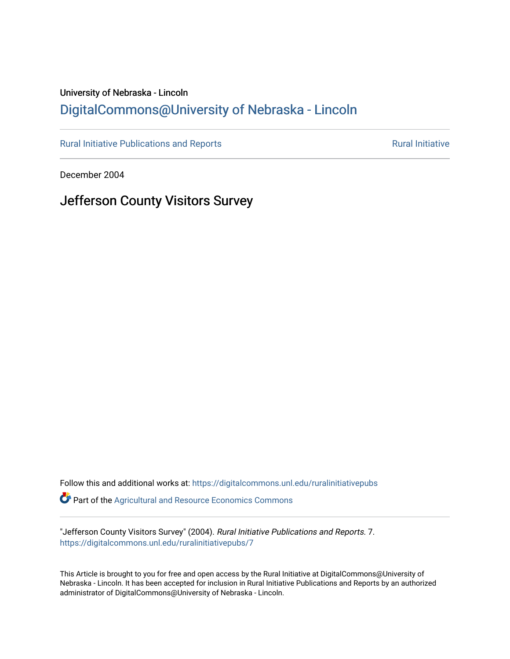# University of Nebraska - Lincoln [DigitalCommons@University of Nebraska - Lincoln](https://digitalcommons.unl.edu/)

[Rural Initiative Publications and Reports](https://digitalcommons.unl.edu/ruralinitiativepubs) **Rural Initiative** Rural Initiative

December 2004

# Jefferson County Visitors Survey

Follow this and additional works at: [https://digitalcommons.unl.edu/ruralinitiativepubs](https://digitalcommons.unl.edu/ruralinitiativepubs?utm_source=digitalcommons.unl.edu%2Fruralinitiativepubs%2F7&utm_medium=PDF&utm_campaign=PDFCoverPages)  **Part of the Agricultural and Resource Economics Commons** 

"Jefferson County Visitors Survey" (2004). Rural Initiative Publications and Reports. 7. [https://digitalcommons.unl.edu/ruralinitiativepubs/7](https://digitalcommons.unl.edu/ruralinitiativepubs/7?utm_source=digitalcommons.unl.edu%2Fruralinitiativepubs%2F7&utm_medium=PDF&utm_campaign=PDFCoverPages) 

This Article is brought to you for free and open access by the Rural Initiative at DigitalCommons@University of Nebraska - Lincoln. It has been accepted for inclusion in Rural Initiative Publications and Reports by an authorized administrator of DigitalCommons@University of Nebraska - Lincoln.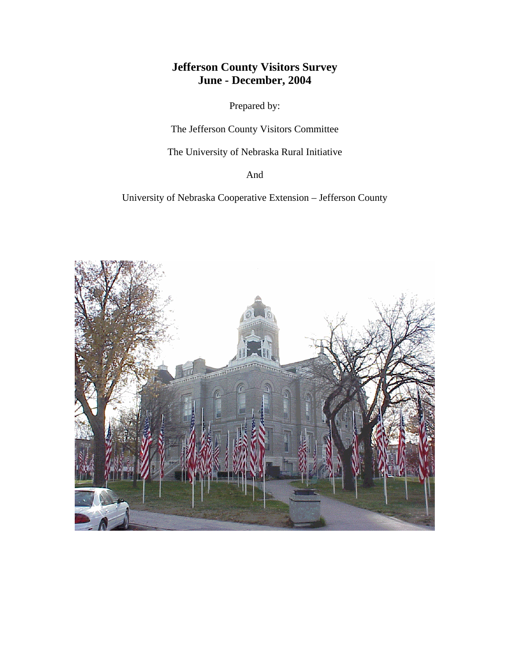# **Jefferson County Visitors Survey June - December, 2004**

Prepared by:

The Jefferson County Visitors Committee

The University of Nebraska Rural Initiative

And

University of Nebraska Cooperative Extension – Jefferson County

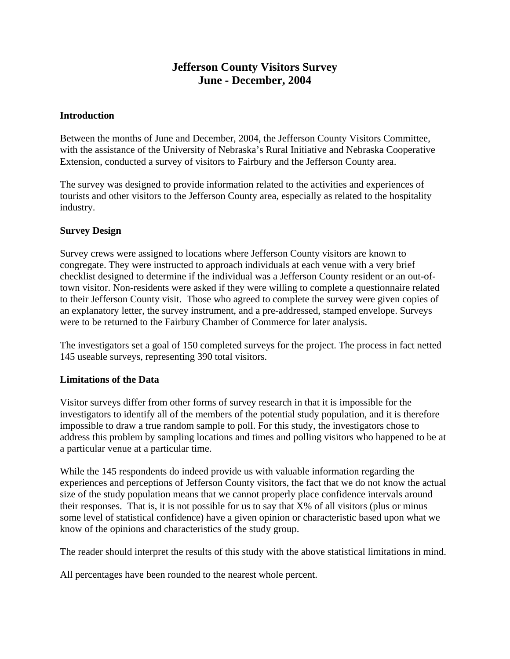# **Jefferson County Visitors Survey June - December, 2004**

#### **Introduction**

Between the months of June and December, 2004, the Jefferson County Visitors Committee, with the assistance of the University of Nebraska's Rural Initiative and Nebraska Cooperative Extension, conducted a survey of visitors to Fairbury and the Jefferson County area.

The survey was designed to provide information related to the activities and experiences of tourists and other visitors to the Jefferson County area, especially as related to the hospitality industry.

#### **Survey Design**

Survey crews were assigned to locations where Jefferson County visitors are known to congregate. They were instructed to approach individuals at each venue with a very brief checklist designed to determine if the individual was a Jefferson County resident or an out-oftown visitor. Non-residents were asked if they were willing to complete a questionnaire related to their Jefferson County visit. Those who agreed to complete the survey were given copies of an explanatory letter, the survey instrument, and a pre-addressed, stamped envelope. Surveys were to be returned to the Fairbury Chamber of Commerce for later analysis.

The investigators set a goal of 150 completed surveys for the project. The process in fact netted 145 useable surveys, representing 390 total visitors.

#### **Limitations of the Data**

Visitor surveys differ from other forms of survey research in that it is impossible for the investigators to identify all of the members of the potential study population, and it is therefore impossible to draw a true random sample to poll. For this study, the investigators chose to address this problem by sampling locations and times and polling visitors who happened to be at a particular venue at a particular time.

While the 145 respondents do indeed provide us with valuable information regarding the experiences and perceptions of Jefferson County visitors, the fact that we do not know the actual size of the study population means that we cannot properly place confidence intervals around their responses. That is, it is not possible for us to say that X% of all visitors (plus or minus some level of statistical confidence) have a given opinion or characteristic based upon what we know of the opinions and characteristics of the study group.

The reader should interpret the results of this study with the above statistical limitations in mind.

All percentages have been rounded to the nearest whole percent.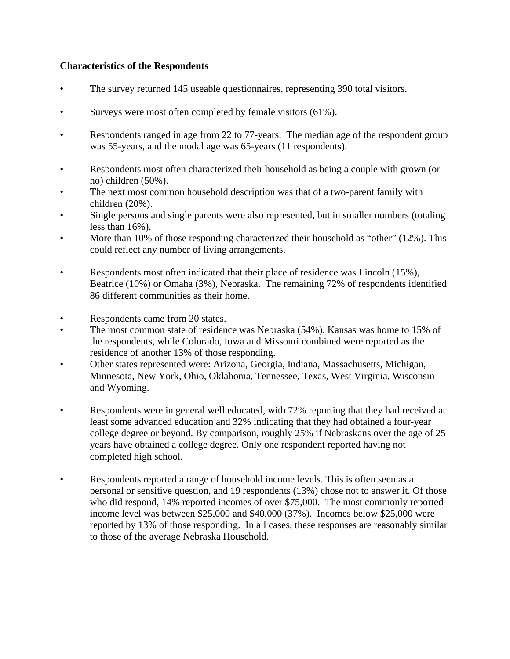#### **Characteristics of the Respondents**

- The survey returned 145 useable questionnaires, representing 390 total visitors.
- Surveys were most often completed by female visitors (61%).
- Respondents ranged in age from 22 to 77-years. The median age of the respondent group was 55-years, and the modal age was 65-years (11 respondents).
- Respondents most often characterized their household as being a couple with grown (or no) children (50%).
- The next most common household description was that of a two-parent family with children (20%).
- Single persons and single parents were also represented, but in smaller numbers (totaling less than 16%).
- More than 10% of those responding characterized their household as "other" (12%). This could reflect any number of living arrangements.
- Respondents most often indicated that their place of residence was Lincoln (15%), Beatrice (10%) or Omaha (3%), Nebraska. The remaining 72% of respondents identified 86 different communities as their home.
- Respondents came from 20 states.
- The most common state of residence was Nebraska (54%). Kansas was home to 15% of the respondents, while Colorado, Iowa and Missouri combined were reported as the residence of another 13% of those responding.
- Other states represented were: Arizona, Georgia, Indiana, Massachusetts, Michigan, Minnesota, New York, Ohio, Oklahoma, Tennessee, Texas, West Virginia, Wisconsin and Wyoming.
- Respondents were in general well educated, with 72% reporting that they had received at least some advanced education and 32% indicating that they had obtained a four-year college degree or beyond. By comparison, roughly 25% if Nebraskans over the age of 25 years have obtained a college degree. Only one respondent reported having not completed high school.
- Respondents reported a range of household income levels. This is often seen as a personal or sensitive question, and 19 respondents (13%) chose not to answer it. Of those who did respond, 14% reported incomes of over \$75,000. The most commonly reported income level was between \$25,000 and \$40,000 (37%). Incomes below \$25,000 were reported by 13% of those responding. In all cases, these responses are reasonably similar to those of the average Nebraska Household.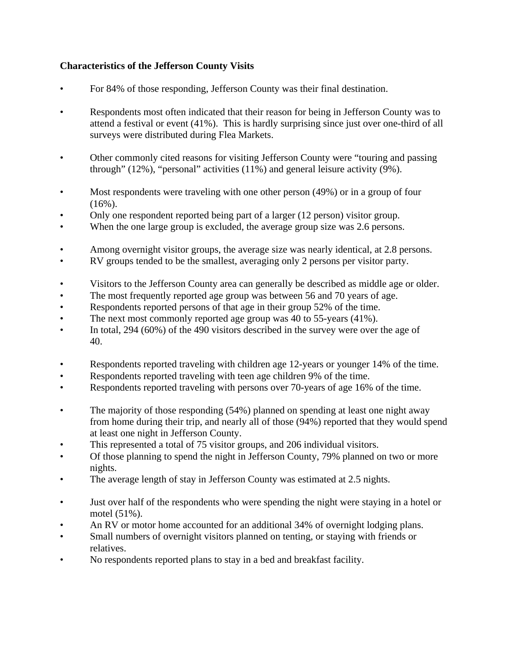# **Characteristics of the Jefferson County Visits**

- For 84% of those responding, Jefferson County was their final destination.
- Respondents most often indicated that their reason for being in Jefferson County was to attend a festival or event (41%). This is hardly surprising since just over one-third of all surveys were distributed during Flea Markets.
- Other commonly cited reasons for visiting Jefferson County were "touring and passing through" (12%), "personal" activities (11%) and general leisure activity (9%).
- Most respondents were traveling with one other person (49%) or in a group of four  $(16\%)$ .
- Only one respondent reported being part of a larger (12 person) visitor group.
- When the one large group is excluded, the average group size was 2.6 persons.
- Among overnight visitor groups, the average size was nearly identical, at 2.8 persons.
- RV groups tended to be the smallest, averaging only 2 persons per visitor party.
- Visitors to the Jefferson County area can generally be described as middle age or older.
- The most frequently reported age group was between 56 and 70 years of age.
- Respondents reported persons of that age in their group 52% of the time.
- The next most commonly reported age group was 40 to 55-years (41%).
- In total, 294 (60%) of the 490 visitors described in the survey were over the age of 40.
- Respondents reported traveling with children age 12-years or younger 14% of the time.
- Respondents reported traveling with teen age children 9% of the time.
- Respondents reported traveling with persons over 70-years of age 16% of the time.
- The majority of those responding (54%) planned on spending at least one night away from home during their trip, and nearly all of those (94%) reported that they would spend at least one night in Jefferson County.
- This represented a total of 75 visitor groups, and 206 individual visitors.
- Of those planning to spend the night in Jefferson County, 79% planned on two or more nights.
- The average length of stay in Jefferson County was estimated at 2.5 nights.
- Just over half of the respondents who were spending the night were staying in a hotel or motel (51%).
- An RV or motor home accounted for an additional 34% of overnight lodging plans.
- Small numbers of overnight visitors planned on tenting, or staying with friends or relatives.
- No respondents reported plans to stay in a bed and breakfast facility.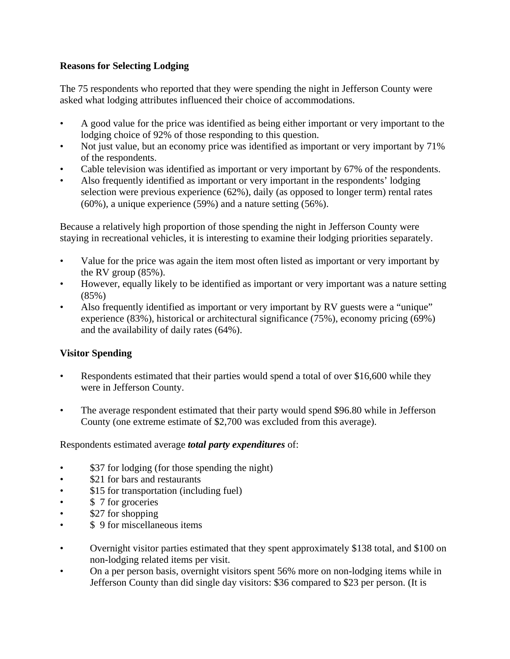## **Reasons for Selecting Lodging**

The 75 respondents who reported that they were spending the night in Jefferson County were asked what lodging attributes influenced their choice of accommodations.

- A good value for the price was identified as being either important or very important to the lodging choice of 92% of those responding to this question.
- Not just value, but an economy price was identified as important or very important by 71% of the respondents.
- Cable television was identified as important or very important by 67% of the respondents.
- Also frequently identified as important or very important in the respondents' lodging selection were previous experience (62%), daily (as opposed to longer term) rental rates (60%), a unique experience (59%) and a nature setting (56%).

Because a relatively high proportion of those spending the night in Jefferson County were staying in recreational vehicles, it is interesting to examine their lodging priorities separately.

- Value for the price was again the item most often listed as important or very important by the RV group (85%).
- However, equally likely to be identified as important or very important was a nature setting (85%)
- Also frequently identified as important or very important by RV guests were a "unique" experience (83%), historical or architectural significance (75%), economy pricing (69%) and the availability of daily rates (64%).

# **Visitor Spending**

- Respondents estimated that their parties would spend a total of over \$16,600 while they were in Jefferson County.
- The average respondent estimated that their party would spend \$96.80 while in Jefferson County (one extreme estimate of \$2,700 was excluded from this average).

## Respondents estimated average *total party expenditures* of:

- \$37 for lodging (for those spending the night)
- \$21 for bars and restaurants
- \$15 for transportation (including fuel)
- \$ 7 for groceries
- \$27 for shopping
- \$ 9 for miscellaneous items
- Overnight visitor parties estimated that they spent approximately \$138 total, and \$100 on non-lodging related items per visit.
- On a per person basis, overnight visitors spent 56% more on non-lodging items while in Jefferson County than did single day visitors: \$36 compared to \$23 per person. (It is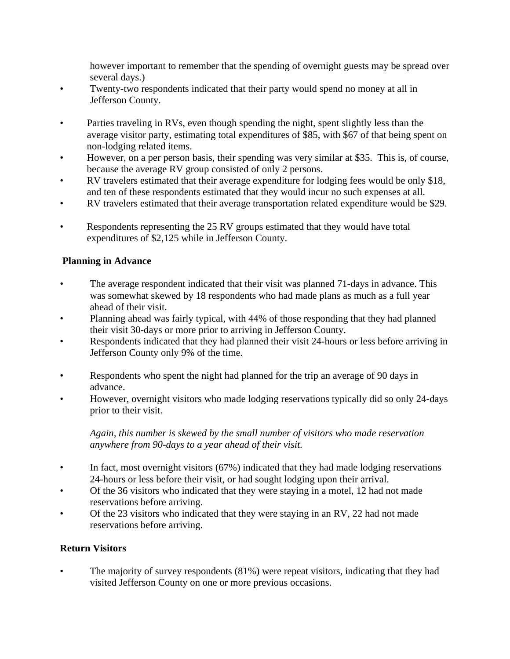however important to remember that the spending of overnight guests may be spread over several days.)

- Twenty-two respondents indicated that their party would spend no money at all in Jefferson County.
- Parties traveling in RVs, even though spending the night, spent slightly less than the average visitor party, estimating total expenditures of \$85, with \$67 of that being spent on non-lodging related items.
- However, on a per person basis, their spending was very similar at \$35. This is, of course, because the average RV group consisted of only 2 persons.
- RV travelers estimated that their average expenditure for lodging fees would be only \$18, and ten of these respondents estimated that they would incur no such expenses at all.
- RV travelers estimated that their average transportation related expenditure would be \$29.
- Respondents representing the 25 RV groups estimated that they would have total expenditures of \$2,125 while in Jefferson County.

## **Planning in Advance**

- The average respondent indicated that their visit was planned 71-days in advance. This was somewhat skewed by 18 respondents who had made plans as much as a full year ahead of their visit.
- Planning ahead was fairly typical, with 44% of those responding that they had planned their visit 30-days or more prior to arriving in Jefferson County.
- Respondents indicated that they had planned their visit 24-hours or less before arriving in Jefferson County only 9% of the time.
- Respondents who spent the night had planned for the trip an average of 90 days in advance.
- However, overnight visitors who made lodging reservations typically did so only 24-days prior to their visit.

*Again, this number is skewed by the small number of visitors who made reservation anywhere from 90-days to a year ahead of their visit.* 

- In fact, most overnight visitors (67%) indicated that they had made lodging reservations 24-hours or less before their visit, or had sought lodging upon their arrival.
- Of the 36 visitors who indicated that they were staying in a motel, 12 had not made reservations before arriving.
- Of the 23 visitors who indicated that they were staying in an RV, 22 had not made reservations before arriving.

## **Return Visitors**

The majority of survey respondents (81%) were repeat visitors, indicating that they had visited Jefferson County on one or more previous occasions.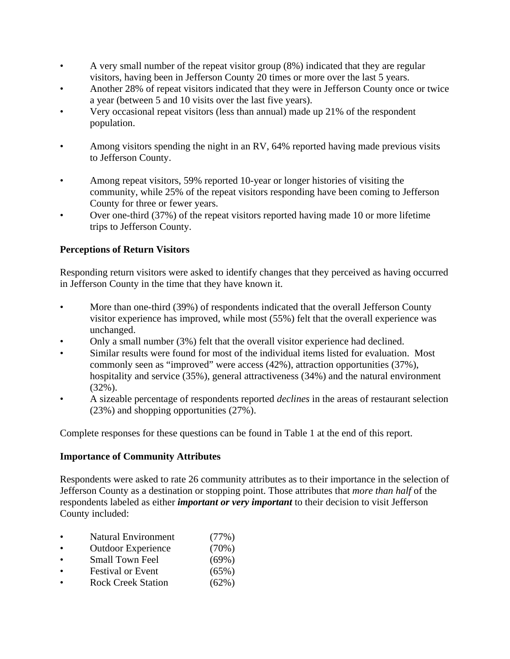- A very small number of the repeat visitor group (8%) indicated that they are regular visitors, having been in Jefferson County 20 times or more over the last 5 years.
- Another 28% of repeat visitors indicated that they were in Jefferson County once or twice a year (between 5 and 10 visits over the last five years).
- Very occasional repeat visitors (less than annual) made up 21% of the respondent population.
- Among visitors spending the night in an RV, 64% reported having made previous visits to Jefferson County.
- Among repeat visitors, 59% reported 10-year or longer histories of visiting the community, while 25% of the repeat visitors responding have been coming to Jefferson County for three or fewer years.
- Over one-third (37%) of the repeat visitors reported having made 10 or more lifetime trips to Jefferson County.

# **Perceptions of Return Visitors**

Responding return visitors were asked to identify changes that they perceived as having occurred in Jefferson County in the time that they have known it.

- More than one-third (39%) of respondents indicated that the overall Jefferson County visitor experience has improved, while most (55%) felt that the overall experience was unchanged.
- Only a small number (3%) felt that the overall visitor experience had declined.
- Similar results were found for most of the individual items listed for evaluation. Most commonly seen as "improved" were access (42%), attraction opportunities (37%), hospitality and service (35%), general attractiveness (34%) and the natural environment (32%).
- A sizeable percentage of respondents reported *declines* in the areas of restaurant selection (23%) and shopping opportunities (27%).

Complete responses for these questions can be found in Table 1 at the end of this report.

## **Importance of Community Attributes**

Respondents were asked to rate 26 community attributes as to their importance in the selection of Jefferson County as a destination or stopping point. Those attributes that *more than half* of the respondents labeled as either *important or very important* to their decision to visit Jefferson County included:

- Natural Environment (77%)
- Outdoor Experience (70%)
- Small Town Feel (69%)
- Festival or Event (65%)
- Rock Creek Station (62%)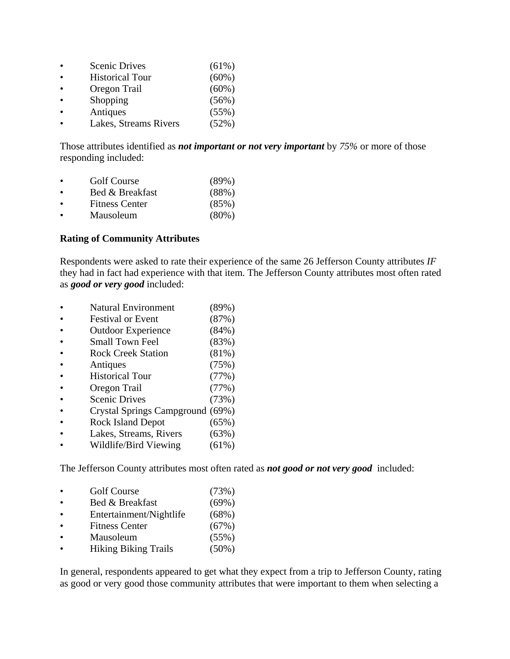| <b>Scenic Drives</b>   | (61%)    |
|------------------------|----------|
| <b>Historical Tour</b> | (60%)    |
| Oregon Trail           | $(60\%)$ |
| Shopping               | (56%)    |
| Antiques               | (55%)    |
| Lakes, Streams Rivers  | (52%)    |

Those attributes identified as *not important or not very important* by *75%* or more of those responding included:

|  | <b>Golf Course</b> | (89%) |
|--|--------------------|-------|
|--|--------------------|-------|

- Bed & Breakfast (88%)
- Fitness Center (85%)
- Mausoleum (80%)

#### **Rating of Community Attributes**

Respondents were asked to rate their experience of the same 26 Jefferson County attributes *IF* they had in fact had experience with that item. The Jefferson County attributes most often rated as *good or very good* included:

- Natural Environment (89%)
- Festival or Event (87%)
- Outdoor Experience (84%)
- Small Town Feel (83%)
- Rock Creek Station (81%)
- Antiques (75%)
- Historical Tour (77%)
- Oregon Trail (77%)
- Scenic Drives (73%)
- Crystal Springs Campground (69%)
- Rock Island Depot (65%)
- Lakes, Streams, Rivers (63%)
- Wildlife/Bird Viewing (61%)

The Jefferson County attributes most often rated as *not good or not very good* included:

- Golf Course (73%)
- Bed & Breakfast (69%)
- Entertainment/Nightlife (68%)
- Fitness Center (67%)
- Mausoleum (55%)
- Hiking Biking Trails (50%)

In general, respondents appeared to get what they expect from a trip to Jefferson County, rating as good or very good those community attributes that were important to them when selecting a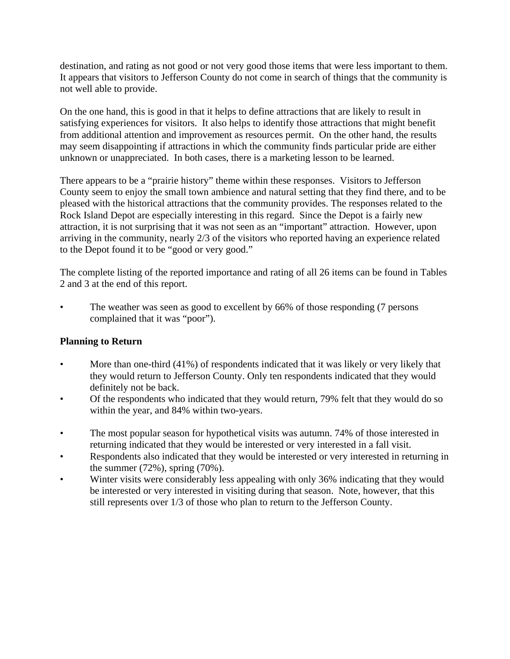destination, and rating as not good or not very good those items that were less important to them. It appears that visitors to Jefferson County do not come in search of things that the community is not well able to provide.

On the one hand, this is good in that it helps to define attractions that are likely to result in satisfying experiences for visitors. It also helps to identify those attractions that might benefit from additional attention and improvement as resources permit. On the other hand, the results may seem disappointing if attractions in which the community finds particular pride are either unknown or unappreciated. In both cases, there is a marketing lesson to be learned.

There appears to be a "prairie history" theme within these responses. Visitors to Jefferson County seem to enjoy the small town ambience and natural setting that they find there, and to be pleased with the historical attractions that the community provides. The responses related to the Rock Island Depot are especially interesting in this regard. Since the Depot is a fairly new attraction, it is not surprising that it was not seen as an "important" attraction. However, upon arriving in the community, nearly 2/3 of the visitors who reported having an experience related to the Depot found it to be "good or very good."

The complete listing of the reported importance and rating of all 26 items can be found in Tables 2 and 3 at the end of this report.

The weather was seen as good to excellent by 66% of those responding (7 persons complained that it was "poor").

## **Planning to Return**

- More than one-third (41%) of respondents indicated that it was likely or very likely that they would return to Jefferson County. Only ten respondents indicated that they would definitely not be back.
- Of the respondents who indicated that they would return, 79% felt that they would do so within the year, and 84% within two-years.
- The most popular season for hypothetical visits was autumn. 74% of those interested in returning indicated that they would be interested or very interested in a fall visit.
- Respondents also indicated that they would be interested or very interested in returning in the summer (72%), spring (70%).
- Winter visits were considerably less appealing with only 36% indicating that they would be interested or very interested in visiting during that season. Note, however, that this still represents over 1/3 of those who plan to return to the Jefferson County.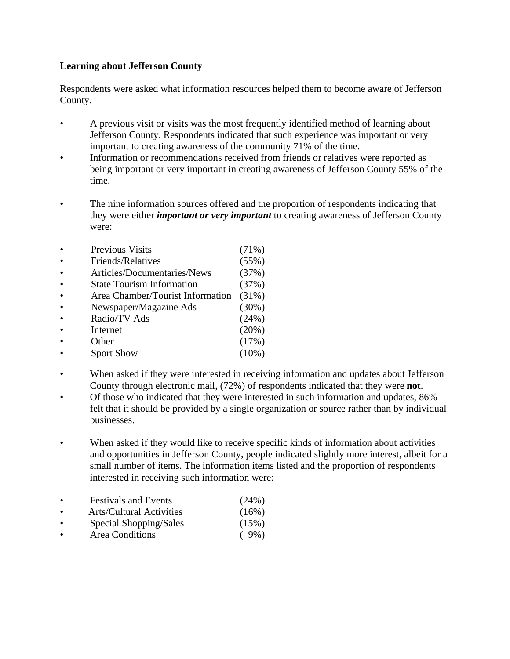## **Learning about Jefferson County**

Respondents were asked what information resources helped them to become aware of Jefferson County.

- A previous visit or visits was the most frequently identified method of learning about Jefferson County. Respondents indicated that such experience was important or very important to creating awareness of the community 71% of the time.
- Information or recommendations received from friends or relatives were reported as being important or very important in creating awareness of Jefferson County 55% of the time.
- The nine information sources offered and the proportion of respondents indicating that they were either *important or very important* to creating awareness of Jefferson County were:
- Previous Visits (71%) • Friends/Relatives (55%) • Articles/Documentaries/News (37%) • State Tourism Information (37%) • Area Chamber/Tourist Information (31%) • Newspaper/Magazine Ads (30%) • Radio/TV Ads (24%) • Internet  $(20\%)$ • Other  $(17\%)$ • Sport Show  $(10\%)$
- When asked if they were interested in receiving information and updates about Jefferson County through electronic mail, (72%) of respondents indicated that they were **not**.
- Of those who indicated that they were interested in such information and updates, 86% felt that it should be provided by a single organization or source rather than by individual businesses.
- When asked if they would like to receive specific kinds of information about activities and opportunities in Jefferson County, people indicated slightly more interest, albeit for a small number of items. The information items listed and the proportion of respondents interested in receiving such information were:
- Festivals and Events (24%)
- Arts/Cultural Activities (16%)
- Special Shopping/Sales (15%)
- Area Conditions ( 9%)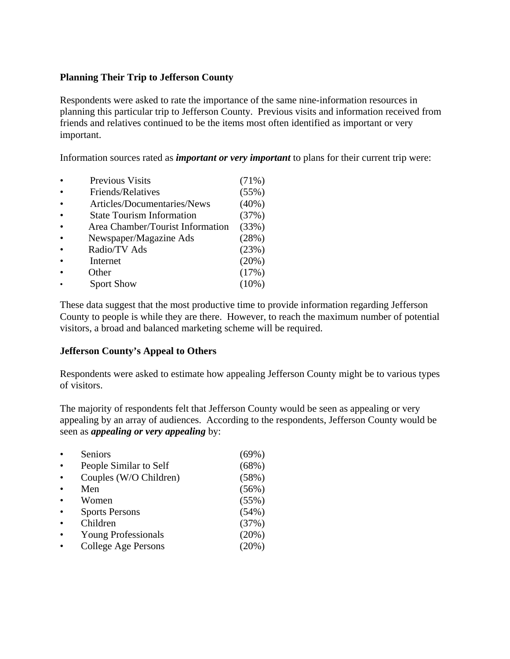#### **Planning Their Trip to Jefferson County**

Respondents were asked to rate the importance of the same nine-information resources in planning this particular trip to Jefferson County. Previous visits and information received from friends and relatives continued to be the items most often identified as important or very important.

Information sources rated as *important or very important* to plans for their current trip were:

• Previous Visits (71%) • Friends/Relatives (55%) • Articles/Documentaries/News (40%) • State Tourism Information (37%) • Area Chamber/Tourist Information (33%) • Newspaper/Magazine Ads (28%) • Radio/TV Ads (23%) • Internet  $(20\%)$ Other  $(17\%)$ Sport Show (10%)

These data suggest that the most productive time to provide information regarding Jefferson County to people is while they are there. However, to reach the maximum number of potential visitors, a broad and balanced marketing scheme will be required.

#### **Jefferson County's Appeal to Others**

Respondents were asked to estimate how appealing Jefferson County might be to various types of visitors.

The majority of respondents felt that Jefferson County would be seen as appealing or very appealing by an array of audiences. According to the respondents, Jefferson County would be seen as *appealing or very appealing* by:

| Seniors                    | $(69\%)$ |
|----------------------------|----------|
| People Similar to Self     | (68%)    |
| Couples (W/O Children)     | (58%)    |
| Men                        | (56%)    |
| Women                      | (55%)    |
| <b>Sports Persons</b>      | (54%)    |
| Children                   | (37%)    |
| <b>Young Professionals</b> | (20%)    |
| College Age Persons        | $(20\%)$ |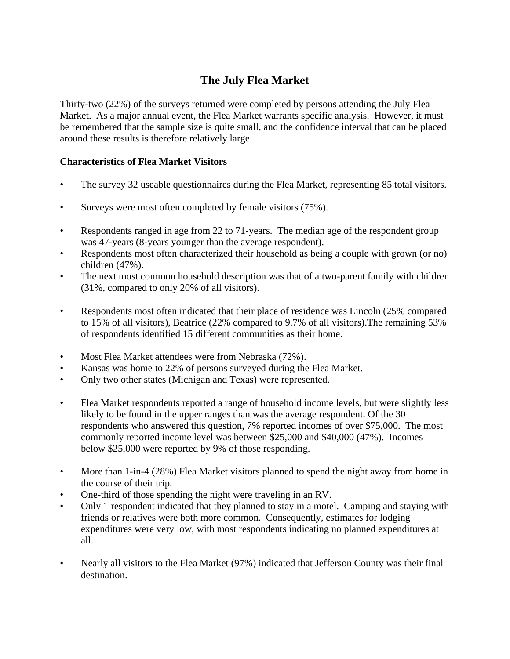# **The July Flea Market**

Thirty-two (22%) of the surveys returned were completed by persons attending the July Flea Market. As a major annual event, the Flea Market warrants specific analysis. However, it must be remembered that the sample size is quite small, and the confidence interval that can be placed around these results is therefore relatively large.

# **Characteristics of Flea Market Visitors**

- The survey 32 useable questionnaires during the Flea Market, representing 85 total visitors.
- Surveys were most often completed by female visitors (75%).
- Respondents ranged in age from 22 to 71-years. The median age of the respondent group was 47-years (8-years younger than the average respondent).
- Respondents most often characterized their household as being a couple with grown (or no) children (47%).
- The next most common household description was that of a two-parent family with children (31%, compared to only 20% of all visitors).
- Respondents most often indicated that their place of residence was Lincoln (25% compared to 15% of all visitors), Beatrice (22% compared to 9.7% of all visitors).The remaining 53% of respondents identified 15 different communities as their home.
- Most Flea Market attendees were from Nebraska (72%).
- Kansas was home to 22% of persons surveyed during the Flea Market.
- Only two other states (Michigan and Texas) were represented.
- Flea Market respondents reported a range of household income levels, but were slightly less likely to be found in the upper ranges than was the average respondent. Of the 30 respondents who answered this question, 7% reported incomes of over \$75,000. The most commonly reported income level was between \$25,000 and \$40,000 (47%). Incomes below \$25,000 were reported by 9% of those responding.
- More than 1-in-4 (28%) Flea Market visitors planned to spend the night away from home in the course of their trip.
- One-third of those spending the night were traveling in an RV.
- Only 1 respondent indicated that they planned to stay in a motel. Camping and staying with friends or relatives were both more common. Consequently, estimates for lodging expenditures were very low, with most respondents indicating no planned expenditures at all.
- Nearly all visitors to the Flea Market (97%) indicated that Jefferson County was their final destination.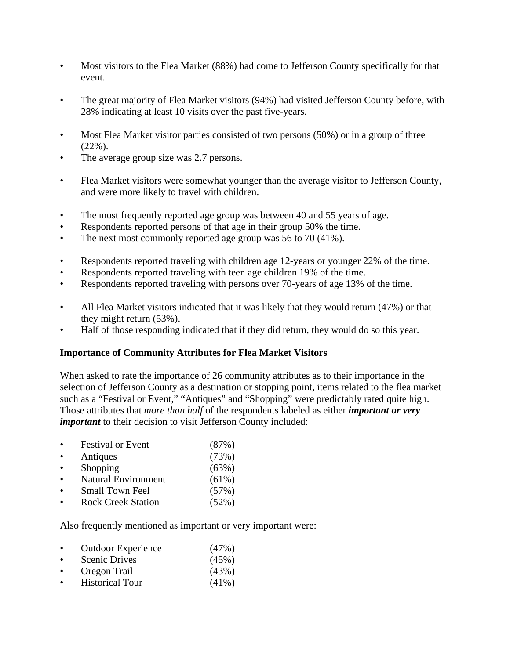- Most visitors to the Flea Market (88%) had come to Jefferson County specifically for that event.
- The great majority of Flea Market visitors (94%) had visited Jefferson County before, with 28% indicating at least 10 visits over the past five-years.
- Most Flea Market visitor parties consisted of two persons (50%) or in a group of three (22%).
- The average group size was 2.7 persons.
- Flea Market visitors were somewhat younger than the average visitor to Jefferson County, and were more likely to travel with children.
- The most frequently reported age group was between 40 and 55 years of age.
- Respondents reported persons of that age in their group 50% the time.
- The next most commonly reported age group was 56 to 70 (41%).
- Respondents reported traveling with children age 12-years or younger 22% of the time.
- Respondents reported traveling with teen age children 19% of the time.
- Respondents reported traveling with persons over 70-years of age 13% of the time.
- All Flea Market visitors indicated that it was likely that they would return (47%) or that they might return (53%).
- Half of those responding indicated that if they did return, they would do so this year.

## **Importance of Community Attributes for Flea Market Visitors**

When asked to rate the importance of 26 community attributes as to their importance in the selection of Jefferson County as a destination or stopping point, items related to the flea market such as a "Festival or Event," "Antiques" and "Shopping" were predictably rated quite high. Those attributes that *more than half* of the respondents labeled as either *important or very important* to their decision to visit Jefferson County included:

- Festival or Event (87%)
- Antiques (73%)
- $\text{Shopping}$  (63%)
- Natural Environment (61%)
- Small Town Feel (57%)
- Rock Creek Station (52%)

Also frequently mentioned as important or very important were:

- Outdoor Experience (47%)
- Scenic Drives (45%)
- Oregon Trail (43%)
- Historical Tour (41%)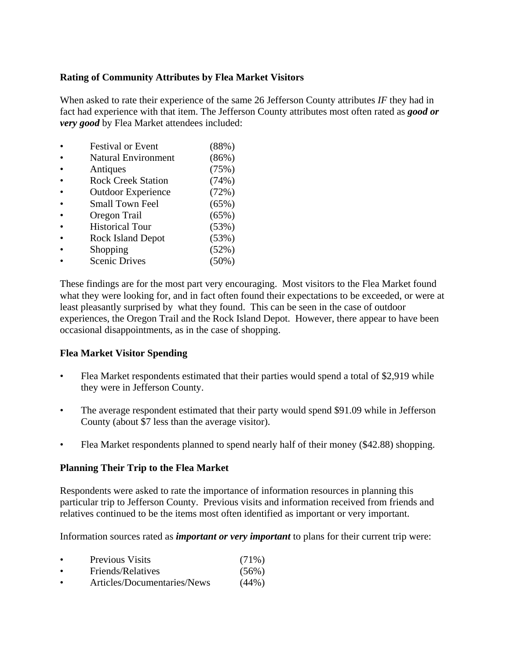#### **Rating of Community Attributes by Flea Market Visitors**

When asked to rate their experience of the same 26 Jefferson County attributes *IF* they had in fact had experience with that item. The Jefferson County attributes most often rated as *good or very good* by Flea Market attendees included:

- Festival or Event (88%) • Natural Environment (86%) • Antiques (75%) • Rock Creek Station (74%) • Outdoor Experience (72%) • Small Town Feel (65%) Oregon Trail (65%) • Historical Tour (53%) • Rock Island Depot (53%) • Shopping  $(52\%)$
- Scenic Drives (50%)

These findings are for the most part very encouraging. Most visitors to the Flea Market found what they were looking for, and in fact often found their expectations to be exceeded, or were at least pleasantly surprised by what they found. This can be seen in the case of outdoor experiences, the Oregon Trail and the Rock Island Depot. However, there appear to have been occasional disappointments, as in the case of shopping.

#### **Flea Market Visitor Spending**

- Flea Market respondents estimated that their parties would spend a total of \$2,919 while they were in Jefferson County.
- The average respondent estimated that their party would spend \$91.09 while in Jefferson County (about \$7 less than the average visitor).
- Flea Market respondents planned to spend nearly half of their money (\$42.88) shopping.

#### **Planning Their Trip to the Flea Market**

Respondents were asked to rate the importance of information resources in planning this particular trip to Jefferson County. Previous visits and information received from friends and relatives continued to be the items most often identified as important or very important.

Information sources rated as *important or very important* to plans for their current trip were:

- Previous Visits (71%) • Friends/Relatives (56%)
- Articles/Documentaries/News (44%)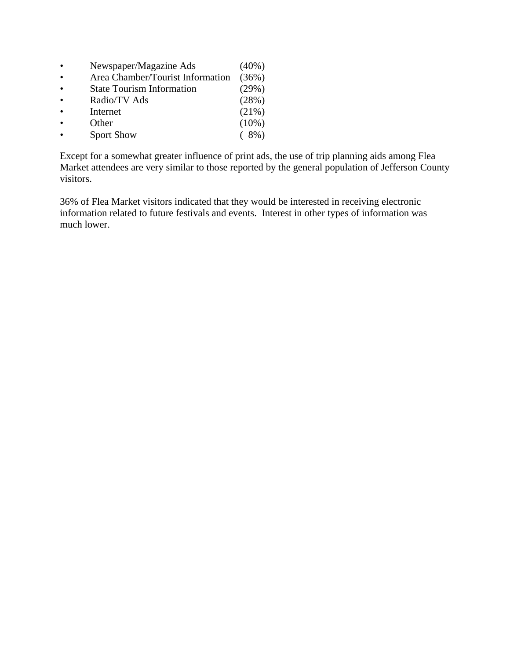- Newspaper/Magazine Ads (40%) • Area Chamber/Tourist Information (36%) • State Tourism Information (29%) • Radio/TV Ads (28%) • Internet  $(21\%)$
- Other  $(10\%)$ • Sport Show (8%)

Except for a somewhat greater influence of print ads, the use of trip planning aids among Flea Market attendees are very similar to those reported by the general population of Jefferson County visitors.

36% of Flea Market visitors indicated that they would be interested in receiving electronic information related to future festivals and events. Interest in other types of information was much lower.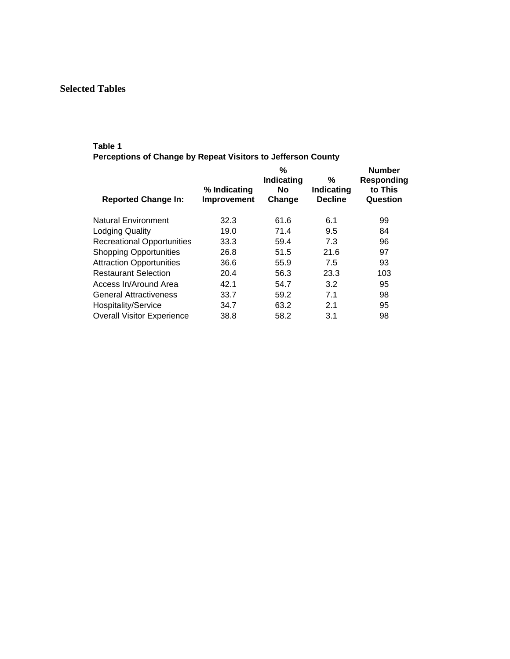# **Selected Tables**

#### **Table 1**

**Perceptions of Change by Repeat Visitors to Jefferson County** 

| <b>Reported Change In:</b>        | % Indicating<br>Improvement | ℅<br>Indicating<br><b>No</b><br>Change | %<br>Indicating<br><b>Decline</b> | <b>Number</b><br>Responding<br>to This<br>Question |
|-----------------------------------|-----------------------------|----------------------------------------|-----------------------------------|----------------------------------------------------|
| <b>Natural Environment</b>        | 32.3                        | 61.6                                   | 6.1                               | 99                                                 |
| <b>Lodging Quality</b>            | 19.0                        | 71.4                                   | 9.5                               | 84                                                 |
| <b>Recreational Opportunities</b> | 33.3                        | 59.4                                   | 7.3                               | 96                                                 |
| <b>Shopping Opportunities</b>     | 26.8                        | 51.5                                   | 21.6                              | 97                                                 |
| <b>Attraction Opportunities</b>   | 36.6                        | 55.9                                   | 7.5                               | 93                                                 |
| <b>Restaurant Selection</b>       | 20.4                        | 56.3                                   | 23.3                              | 103                                                |
| Access In/Around Area             | 42.1                        | 54.7                                   | 3.2                               | 95                                                 |
| <b>General Attractiveness</b>     | 33.7                        | 59.2                                   | 7.1                               | 98                                                 |
| Hospitality/Service               | 34.7                        | 63.2                                   | 2.1                               | 95                                                 |
| <b>Overall Visitor Experience</b> | 38.8                        | 58.2                                   | 3.1                               | 98                                                 |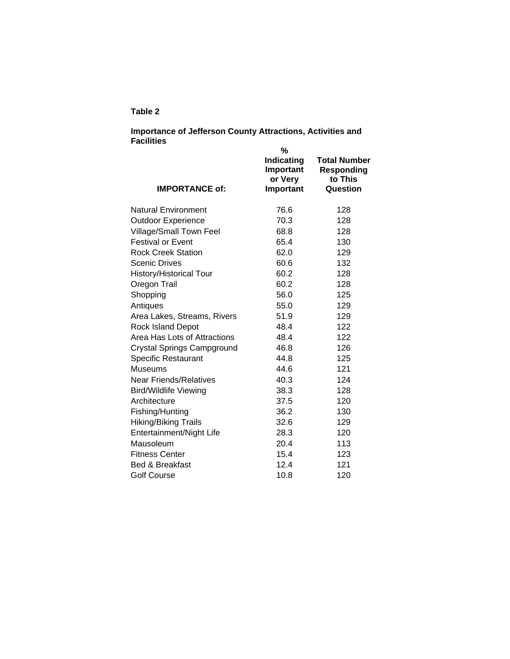#### **Table 2**

#### **Importance of Jefferson County Attractions, Activities and Facilities**

| <b>IMPORTANCE of:</b>          | %<br><b>Indicating</b><br>Important<br>or Very<br>Important | <b>Total Number</b><br><b>Responding</b><br>to This<br>Question |
|--------------------------------|-------------------------------------------------------------|-----------------------------------------------------------------|
| Natural Environment            | 76.6                                                        | 128                                                             |
| <b>Outdoor Experience</b>      | 70.3                                                        | 128                                                             |
| Village/Small Town Feel        | 68.8                                                        | 128                                                             |
| <b>Festival or Event</b>       | 65.4                                                        | 130                                                             |
| <b>Rock Creek Station</b>      | 62.0                                                        | 129                                                             |
| Scenic Drives                  | 60.6                                                        | 132                                                             |
| <b>History/Historical Tour</b> | 60.2                                                        | 128                                                             |
| Oregon Trail                   | 60.2                                                        | 128                                                             |
| Shopping                       | 56.0                                                        | 125                                                             |
| Antiques                       | 55.0                                                        | 129                                                             |
| Area Lakes, Streams, Rivers    | 51.9                                                        | 129                                                             |
| <b>Rock Island Depot</b>       | 48.4                                                        | 122                                                             |
| Area Has Lots of Attractions   | 48.4                                                        | 122                                                             |
| Crystal Springs Campground     | 46.8                                                        | 126                                                             |
| <b>Specific Restaurant</b>     | 44.8                                                        | 125                                                             |
| Museums                        | 44.6                                                        | 121                                                             |
| Near Friends/Relatives         | 40.3                                                        | 124                                                             |
| <b>Bird/Wildlife Viewing</b>   | 38.3                                                        | 128                                                             |
| Architecture                   | 37.5                                                        | 120                                                             |
| Fishing/Hunting                | 36.2                                                        | 130                                                             |
| Hiking/Biking Trails           | 32.6                                                        | 129                                                             |
| Entertainment/Night Life       | 28.3                                                        | 120                                                             |
| Mausoleum                      | 20.4                                                        | 113                                                             |
| Fitness Center                 | 15.4                                                        | 123                                                             |
| Bed & Breakfast                | 12.4                                                        | 121                                                             |
| Golf Course                    | 10.8                                                        | 120                                                             |